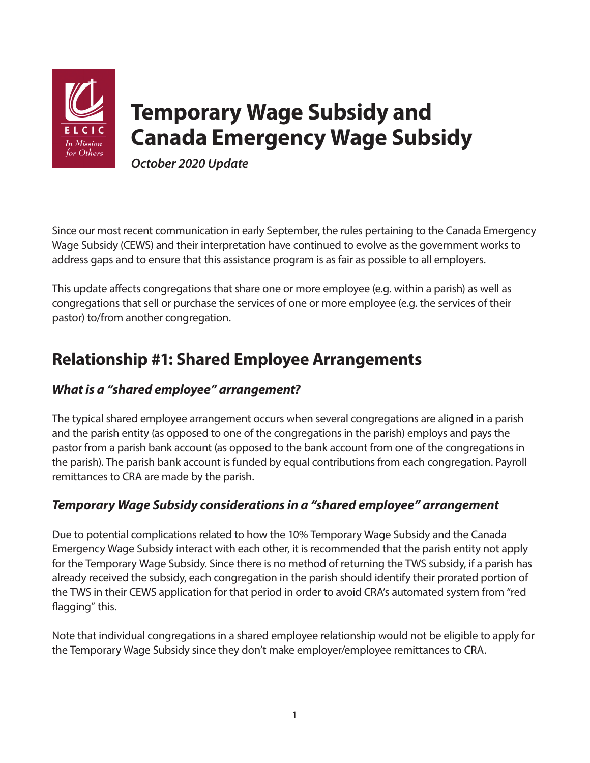

# **Temporary Wage Subsidy and Canada Emergency Wage Subsidy**

*October 2020 Update* 

Since our most recent communication in early September, the rules pertaining to the Canada Emergency Wage Subsidy (CEWS) and their interpretation have continued to evolve as the government works to address gaps and to ensure that this assistance program is as fair as possible to all employers.

This update affects congregations that share one or more employee (e.g. within a parish) as well as congregations that sell or purchase the services of one or more employee (e.g. the services of their pastor) to/from another congregation.

# **Relationship #1: Shared Employee Arrangements**

## *What is a "shared employee" arrangement?*

The typical shared employee arrangement occurs when several congregations are aligned in a parish and the parish entity (as opposed to one of the congregations in the parish) employs and pays the pastor from a parish bank account (as opposed to the bank account from one of the congregations in the parish). The parish bank account is funded by equal contributions from each congregation. Payroll remittances to CRA are made by the parish.

## *Temporary Wage Subsidy considerations in a "shared employee" arrangement*

Due to potential complications related to how the 10% Temporary Wage Subsidy and the Canada Emergency Wage Subsidy interact with each other, it is recommended that the parish entity not apply for the Temporary Wage Subsidy. Since there is no method of returning the TWS subsidy, if a parish has already received the subsidy, each congregation in the parish should identify their prorated portion of the TWS in their CEWS application for that period in order to avoid CRA's automated system from "red flagging" this.

Note that individual congregations in a shared employee relationship would not be eligible to apply for the Temporary Wage Subsidy since they don't make employer/employee remittances to CRA.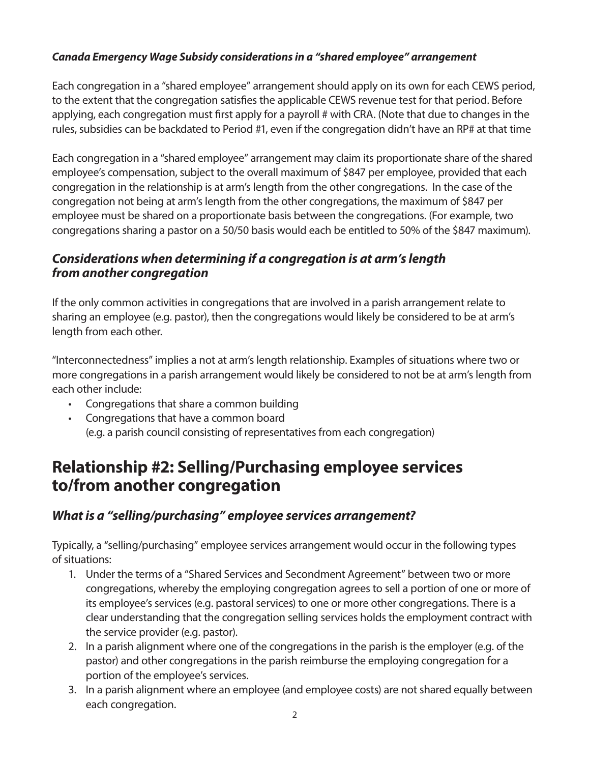#### *Canada Emergency Wage Subsidy considerations in a "shared employee" arrangement*

Each congregation in a "shared employee" arrangement should apply on its own for each CEWS period, to the extent that the congregation satisfies the applicable CEWS revenue test for that period. Before applying, each congregation must first apply for a payroll # with CRA. (Note that due to changes in the rules, subsidies can be backdated to Period #1, even if the congregation didn't have an RP# at that time

Each congregation in a "shared employee" arrangement may claim its proportionate share of the shared employee's compensation, subject to the overall maximum of \$847 per employee, provided that each congregation in the relationship is at arm's length from the other congregations. In the case of the congregation not being at arm's length from the other congregations, the maximum of \$847 per employee must be shared on a proportionate basis between the congregations. (For example, two congregations sharing a pastor on a 50/50 basis would each be entitled to 50% of the \$847 maximum).

#### *Considerations when determining if a congregation is at arm's length from another congregation*

If the only common activities in congregations that are involved in a parish arrangement relate to sharing an employee (e.g. pastor), then the congregations would likely be considered to be at arm's length from each other.

"Interconnectedness" implies a not at arm's length relationship. Examples of situations where two or more congregations in a parish arrangement would likely be considered to not be at arm's length from each other include:

- Congregations that share a common building
- Congregations that have a common board (e.g. a parish council consisting of representatives from each congregation)

## **Relationship #2: Selling/Purchasing employee services to/from another congregation**

#### *What is a "selling/purchasing" employee services arrangement?*

Typically, a "selling/purchasing" employee services arrangement would occur in the following types of situations:

- 1. Under the terms of a "Shared Services and Secondment Agreement" between two or more congregations, whereby the employing congregation agrees to sell a portion of one or more of its employee's services (e.g. pastoral services) to one or more other congregations. There is a clear understanding that the congregation selling services holds the employment contract with the service provider (e.g. pastor).
- 2. In a parish alignment where one of the congregations in the parish is the employer (e.g. of the pastor) and other congregations in the parish reimburse the employing congregation for a portion of the employee's services.
- 3. In a parish alignment where an employee (and employee costs) are not shared equally between each congregation.